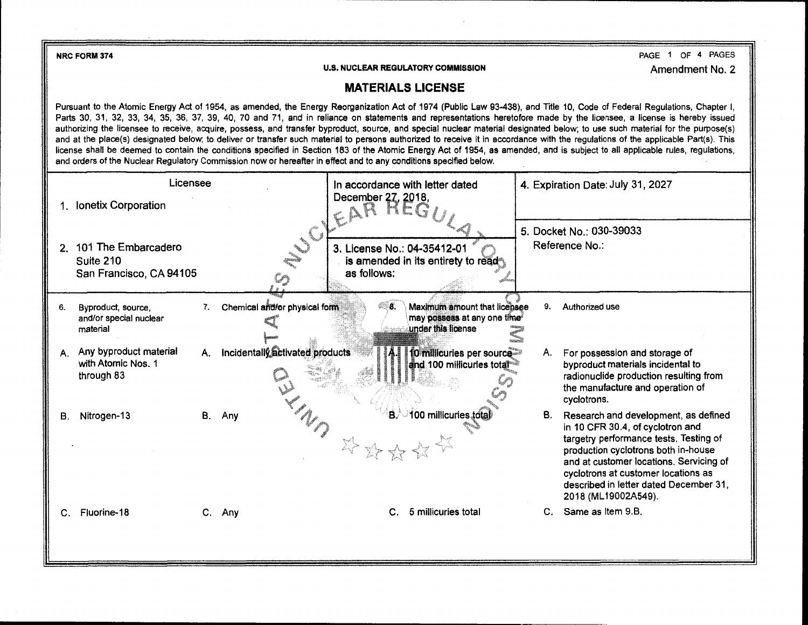**NRC FORM374** 

PAGE 1 OF 4 PAGES Amendment No. 2

## **U.S. NUCLEAR REGULATORY COMMISSION**

## **MATERIALS LICENSE**

Pursuant to the Atomic Energy Act of 1954, as amended, the Energy Reorganization Act of 1974 (Public Law 93-438), and Trtle 10, Code of Federal Regulations, Chapter I, Parts 30, 31, 32, 33, 34, 35, 36, 37, 39, 40, 70 and 71, and in reliance on statements and representations heretofore made by the licensee, a license is hereby issued authorizing the licensee to receive, acquire, possess, and transfer byproduct, source, and special nuclear material designated below; to use such material for the purpose(s) and at the place(s) designated below; to deliver or transfer such material to persons authorized to receive it in accordance with the regulations of the applicable Part(s). This license shall be deemed to contain the conditions specified in Section 183 of the Atomic Energy Act of 1954, as amended, and is subject to all applicable rules, regulations, and orders of the Nuclear Regulatory Commission now or hereafter in effect and to any conditions specified below.

| Licensee                                                               |                                 | In accordance with letter dated                                                          | 4. Expiration Date: July 31, 2027 |                                                                                                                                                                                                                                                                                                              |
|------------------------------------------------------------------------|---------------------------------|------------------------------------------------------------------------------------------|-----------------------------------|--------------------------------------------------------------------------------------------------------------------------------------------------------------------------------------------------------------------------------------------------------------------------------------------------------------|
| 1. Ionetix Corporation                                                 |                                 | December 27, 2018,<br>CAR<br>nt G                                                        |                                   |                                                                                                                                                                                                                                                                                                              |
| 2. 101 The Embarcadero<br>Suite 210<br>San Francisco, CA 94105         | <b>CANADAS</b>                  | 3. License No.: 04-35412-01<br>is amended in its entirety to read<br>as follows:         |                                   | 5. Docket No.: 030-39033<br>Reference No.:                                                                                                                                                                                                                                                                   |
| Byproduct, source.<br>7.<br>6.<br>and/or special nuclear<br>material   | Chemical and/or physical form   | €.<br>Maximum amount that licensee<br>may possess at any one time"<br>under this license | 9.                                | Authorized use                                                                                                                                                                                                                                                                                               |
| Any byproduct material<br>А.<br>А.<br>with Atomic Nos. 1<br>through 83 | Incidentally activated products | 10 millicuries per source<br>and 100 millicuries total                                   | А.                                | For possession and storage of<br>byproduct materials incidental to<br>radionuclide production resulting from<br>the manufacture and operation of<br>cyclotrons.                                                                                                                                              |
| Nitrogen-13<br>В.<br>В.                                                | Any                             | $\mathbf{B} \setminus \mathbf{100}$ millicuries $\mathbf{total}$                         | В.                                | Research and development, as defined<br>in 10 CFR 30.4, of cyclotron and<br>targetry performance tests. Testing of<br>production cyclotrons both in-house<br>and at customer locations. Servicing of<br>cyclotrons at customer locations as<br>described in letter dated December 31,<br>2018 (ML19002A549). |
| Fluorine-18<br>C.                                                      | Any                             | 5 millicuries total                                                                      |                                   | Same as Item 9.B.                                                                                                                                                                                                                                                                                            |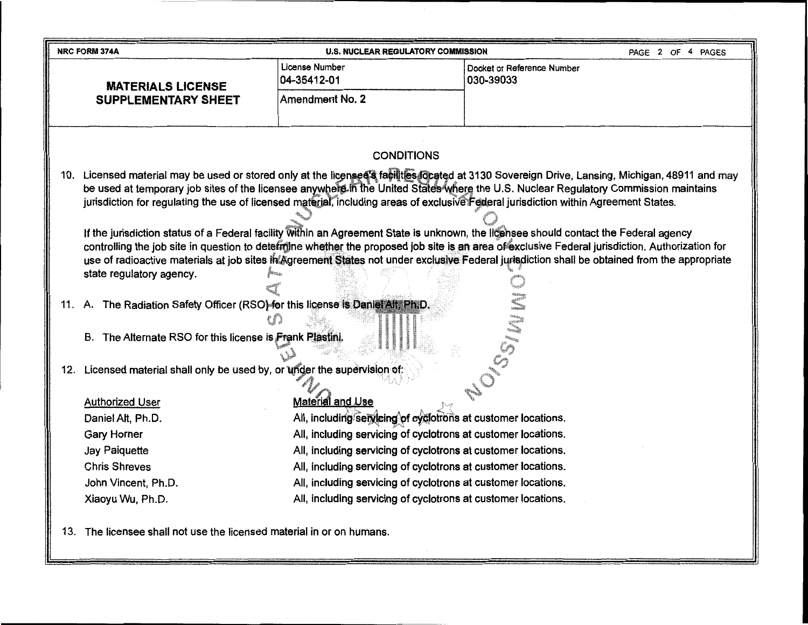| <b>NRC FORM 374A</b>                                                                                                                                                                                                                                                                                                                                                                                                                                                  | <b>U.S. NUCLEAR REGULATORY COMMISSION</b>                     |                                         | PAGE 2 OF 4 PAGES |
|-----------------------------------------------------------------------------------------------------------------------------------------------------------------------------------------------------------------------------------------------------------------------------------------------------------------------------------------------------------------------------------------------------------------------------------------------------------------------|---------------------------------------------------------------|-----------------------------------------|-------------------|
| <b>MATERIALS LICENSE</b>                                                                                                                                                                                                                                                                                                                                                                                                                                              | License Number<br>04-35412-01                                 | Docket or Reference Number<br>030-39033 |                   |
| <b>SUPPLEMENTARY SHEET</b>                                                                                                                                                                                                                                                                                                                                                                                                                                            | <b>Amendment No. 2</b>                                        |                                         |                   |
|                                                                                                                                                                                                                                                                                                                                                                                                                                                                       |                                                               |                                         |                   |
|                                                                                                                                                                                                                                                                                                                                                                                                                                                                       | <b>CONDITIONS</b>                                             |                                         |                   |
| 10. Licensed material may be used or stored only at the licensed's facilities focated at 3130 Sovereign Drive, Lansing, Michigan, 48911 and may<br>be used at temporary job sites of the licensee anywhere in the United States where the U.S. Nuclear Regulatory Commission maintains<br>jurisdiction for regulating the use of licensed material, including areas of exclusive Federal jurisdiction within Agreement States.                                        |                                                               |                                         |                   |
| If the jurisdiction status of a Federal facility within an Agreement State is unknown, the licensee should contact the Federal agency<br>controlling the job site in question to determine whether the proposed job site is an area of exclusive Federal jurisdiction. Authorization for<br>use of radioactive materials at job sites in Agreement States not under exclusive Federal jurisdiction shall be obtained from the appropriate<br>state regulatory agency. |                                                               |                                         |                   |
| 11. A. The Radiation Safety Officer (RSO) for this license is Daniel Alt. Ph.D.                                                                                                                                                                                                                                                                                                                                                                                       |                                                               |                                         |                   |
| B. The Alternate RSO for this license is Frank Plastini.                                                                                                                                                                                                                                                                                                                                                                                                              |                                                               |                                         |                   |
| 12. Licensed material shall only be used by, or under the supervision of:                                                                                                                                                                                                                                                                                                                                                                                             |                                                               |                                         |                   |
| <b>Authorized User</b>                                                                                                                                                                                                                                                                                                                                                                                                                                                | Material and Use                                              |                                         |                   |
| Daniel Alt, Ph.D.                                                                                                                                                                                                                                                                                                                                                                                                                                                     | All, including servicing of cyclotrons at customer locations. |                                         |                   |
| Gary Horner                                                                                                                                                                                                                                                                                                                                                                                                                                                           | All, including servicing of cyclotrons at customer locations. |                                         |                   |
| Jay Paiquette                                                                                                                                                                                                                                                                                                                                                                                                                                                         | All, including servicing of cyclotrons at customer locations. |                                         |                   |
| <b>Chris Shreves</b>                                                                                                                                                                                                                                                                                                                                                                                                                                                  | All, including servicing of cyclotrons at customer locations. |                                         |                   |
| John Vincent, Ph.D.                                                                                                                                                                                                                                                                                                                                                                                                                                                   | All, including servicing of cyclotrons at customer locations. |                                         |                   |
| Xiaoyu Wu, Ph.D.                                                                                                                                                                                                                                                                                                                                                                                                                                                      | All, including servicing of cyclotrons at customer locations. |                                         |                   |
| 13. The licensee shall not use the licensed material in or on humans.                                                                                                                                                                                                                                                                                                                                                                                                 |                                                               |                                         |                   |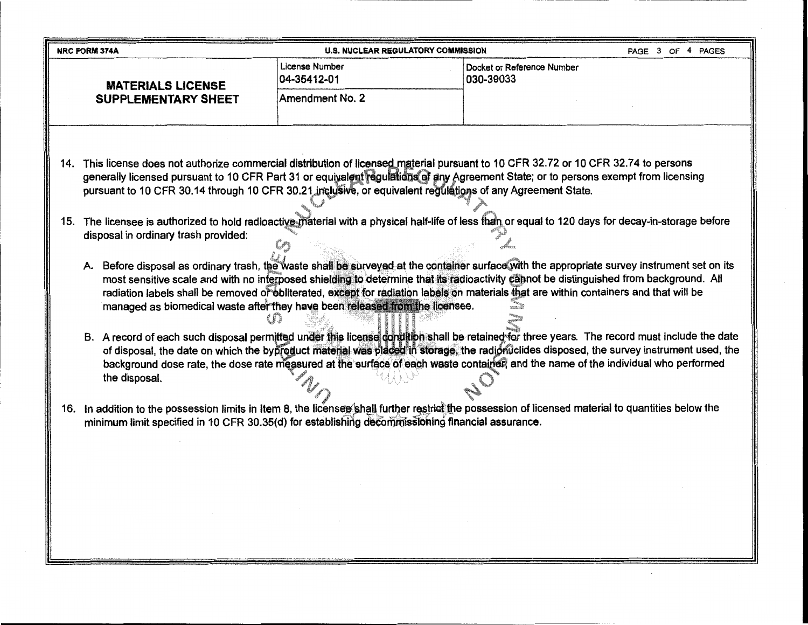| <b>NRC FORM 374A</b>                                                                                                                                                                                                                                                                                                                                                                                                                                                                                             | U.S. NUCLEAR REGULATORY COMMISSION                                                                                                                                                                                                                                            |                                         | PAGE 3 OF 4 PAGES |  |  |
|------------------------------------------------------------------------------------------------------------------------------------------------------------------------------------------------------------------------------------------------------------------------------------------------------------------------------------------------------------------------------------------------------------------------------------------------------------------------------------------------------------------|-------------------------------------------------------------------------------------------------------------------------------------------------------------------------------------------------------------------------------------------------------------------------------|-----------------------------------------|-------------------|--|--|
| <b>MATERIALS LICENSE</b>                                                                                                                                                                                                                                                                                                                                                                                                                                                                                         | License Number<br>04-35412-01                                                                                                                                                                                                                                                 | Docket or Reference Number<br>030-39033 |                   |  |  |
| <b>SUPPLEMENTARY SHEET</b>                                                                                                                                                                                                                                                                                                                                                                                                                                                                                       | Amendment No. 2                                                                                                                                                                                                                                                               |                                         |                   |  |  |
|                                                                                                                                                                                                                                                                                                                                                                                                                                                                                                                  |                                                                                                                                                                                                                                                                               |                                         |                   |  |  |
|                                                                                                                                                                                                                                                                                                                                                                                                                                                                                                                  |                                                                                                                                                                                                                                                                               |                                         |                   |  |  |
| 14. This license does not authorize commercial distribution of licensed material pursuant to 10 CFR 32.72 or 10 CFR 32.74 to persons<br>generally licensed pursuant to 10 CFR Part 31 or equivalent regulations of any Agreement State; or to persons exempt from licensing<br>pursuant to 10 CFR 30.14 through 10 CFR 30.21 inclusive, or equivalent regulations of any Agreement State.                                                                                                                        |                                                                                                                                                                                                                                                                               |                                         |                   |  |  |
| 15. The licensee is authorized to hold radioactive material with a physical half-life of less than or equal to 120 days for decay-in-storage before<br>disposal in ordinary trash provided:                                                                                                                                                                                                                                                                                                                      |                                                                                                                                                                                                                                                                               |                                         |                   |  |  |
| A. Before disposal as ordinary trash, the waste shall be surveyed at the container surface with the appropriate survey instrument set on its<br>most sensitive scale and with no interposed shielding to determine that its radioactivity cannot be distinguished from background. All<br>radiation labels shall be removed or obliterated, except for radiation labels on materials that are within containers and that will be<br>managed as biomedical waste after they have been released from the licensee. |                                                                                                                                                                                                                                                                               |                                         |                   |  |  |
| B. A record of each such disposal permitted under this license condition shall be retained for three years. The record must include the date<br>the disposal.                                                                                                                                                                                                                                                                                                                                                    | of disposal, the date on which the byproduct material was placed in storage, the radionuclides disposed, the survey instrument used, the<br>background dose rate, the dose rate measured at the surface of each waste container, and the name of the individual who performed |                                         |                   |  |  |
| 16. In addition to the possession limits in Item 8, the licensee shall further restrict the possession of licensed material to quantities below the<br>minimum limit specified in 10 CFR 30.35(d) for establishing decommissioning financial assurance.                                                                                                                                                                                                                                                          |                                                                                                                                                                                                                                                                               |                                         |                   |  |  |
|                                                                                                                                                                                                                                                                                                                                                                                                                                                                                                                  |                                                                                                                                                                                                                                                                               |                                         |                   |  |  |
|                                                                                                                                                                                                                                                                                                                                                                                                                                                                                                                  |                                                                                                                                                                                                                                                                               |                                         |                   |  |  |
|                                                                                                                                                                                                                                                                                                                                                                                                                                                                                                                  |                                                                                                                                                                                                                                                                               |                                         |                   |  |  |

 $\sim$